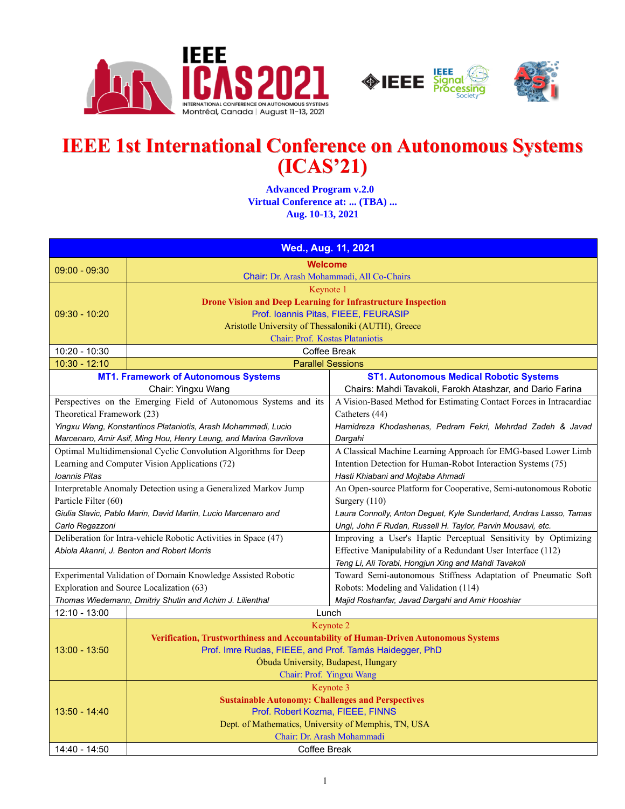



## **IEEE 1st International Conference on Autonomous Systems (ICAS'21)**

 **Advanced Program v.2.0 Virtual Conference at: ... (TBA) ... Aug. 10-13, 2021**

| Wed., Aug. 11, 2021                                             |                                                                                     |                                                                                       |
|-----------------------------------------------------------------|-------------------------------------------------------------------------------------|---------------------------------------------------------------------------------------|
| $09:00 - 09:30$                                                 | <b>Welcome</b>                                                                      |                                                                                       |
|                                                                 | Chair: Dr. Arash Mohammadi, All Co-Chairs                                           |                                                                                       |
|                                                                 | Keynote 1                                                                           |                                                                                       |
|                                                                 | <b>Drone Vision and Deep Learning for Infrastructure Inspection</b>                 |                                                                                       |
| $09:30 - 10:20$                                                 |                                                                                     | Prof. Ioannis Pitas, FIEEE, FEURASIP                                                  |
|                                                                 | Aristotle University of Thessaloniki (AUTH), Greece                                 |                                                                                       |
|                                                                 | Chair: Prof. Kostas Plataniotis                                                     |                                                                                       |
| 10:20 - 10:30                                                   |                                                                                     | Coffee Break                                                                          |
| 10:30 - 12:10                                                   | <b>Parallel Sessions</b>                                                            |                                                                                       |
|                                                                 | <b>MT1. Framework of Autonomous Systems</b>                                         | <b>ST1. Autonomous Medical Robotic Systems</b>                                        |
|                                                                 | Chair: Yingxu Wang                                                                  | Chairs: Mahdi Tavakoli, Farokh Atashzar, and Dario Farina                             |
| Theoretical Framework (23)                                      | Perspectives on the Emerging Field of Autonomous Systems and its                    | A Vision-Based Method for Estimating Contact Forces in Intracardiac<br>Catheters (44) |
|                                                                 | Yingxu Wang, Konstantinos Plataniotis, Arash Mohammadi, Lucio                       | Hamidreza Khodashenas, Pedram Fekri, Mehrdad Zadeh & Javad                            |
|                                                                 | Marcenaro, Amir Asif, Ming Hou, Henry Leung, and Marina Gavrilova                   | Dargahi                                                                               |
| Optimal Multidimensional Cyclic Convolution Algorithms for Deep |                                                                                     | A Classical Machine Learning Approach for EMG-based Lower Limb                        |
|                                                                 | Learning and Computer Vision Applications (72)                                      | Intention Detection for Human-Robot Interaction Systems (75)                          |
| Ioannis Pitas                                                   |                                                                                     | Hasti Khiabani and Mojtaba Ahmadi                                                     |
|                                                                 | Interpretable Anomaly Detection using a Generalized Markov Jump                     | An Open-source Platform for Cooperative, Semi-autonomous Robotic                      |
| Particle Filter (60)                                            |                                                                                     | Surgery (110)                                                                         |
| Giulia Slavic, Pablo Marin, David Martin, Lucio Marcenaro and   |                                                                                     | Laura Connolly, Anton Deguet, Kyle Sunderland, Andras Lasso, Tamas                    |
| Carlo Regazzoni                                                 |                                                                                     | Ungi, John F Rudan, Russell H. Taylor, Parvin Mousavi, etc.                           |
| Deliberation for Intra-vehicle Robotic Activities in Space (47) |                                                                                     | Improving a User's Haptic Perceptual Sensitivity by Optimizing                        |
|                                                                 | Abiola Akanni, J. Benton and Robert Morris                                          | Effective Manipulability of a Redundant User Interface (112)                          |
|                                                                 |                                                                                     | Teng Li, Ali Torabi, Hongjun Xing and Mahdi Tavakoli                                  |
| Experimental Validation of Domain Knowledge Assisted Robotic    |                                                                                     | Toward Semi-autonomous Stiffness Adaptation of Pneumatic Soft                         |
| Exploration and Source Localization (63)                        |                                                                                     | Robots: Modeling and Validation (114)                                                 |
|                                                                 | Thomas Wiedemann, Dmitriy Shutin and Achim J. Lilienthal                            | Majid Roshanfar, Javad Dargahi and Amir Hooshiar                                      |
| 12:10 - 13:00                                                   | Lunch                                                                               |                                                                                       |
|                                                                 |                                                                                     | Keynote 2                                                                             |
|                                                                 | Verification, Trustworthiness and Accountability of Human-Driven Autonomous Systems |                                                                                       |
| $13:00 - 13:50$                                                 | Prof. Imre Rudas, FIEEE, and Prof. Tamás Haidegger, PhD                             |                                                                                       |
|                                                                 | Óbuda University, Budapest, Hungary                                                 |                                                                                       |
|                                                                 | Chair: Prof. Yingxu Wang                                                            |                                                                                       |
| 13:50 - 14:40                                                   | Keynote 3                                                                           |                                                                                       |
|                                                                 | <b>Sustainable Autonomy: Challenges and Perspectives</b>                            |                                                                                       |
|                                                                 | Prof. Robert Kozma, FIEEE, FINNS                                                    |                                                                                       |
|                                                                 | Dept. of Mathematics, University of Memphis, TN, USA<br>Chair: Dr. Arash Mohammadi  |                                                                                       |
| 14:40 - 14:50                                                   | Coffee Break                                                                        |                                                                                       |
|                                                                 |                                                                                     |                                                                                       |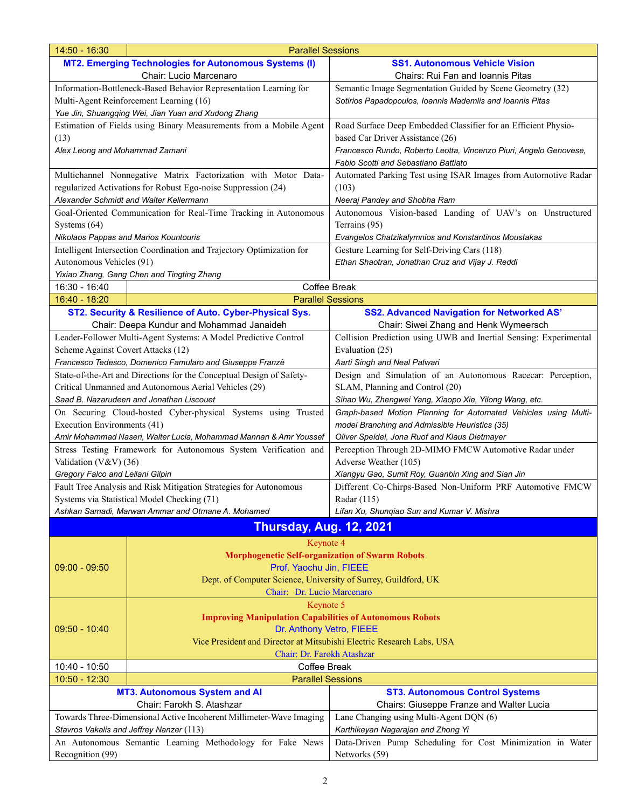| 14:50 - 16:30<br><b>Parallel Sessions</b>                             |                                                                       |                                                                   |
|-----------------------------------------------------------------------|-----------------------------------------------------------------------|-------------------------------------------------------------------|
|                                                                       | <b>MT2. Emerging Technologies for Autonomous Systems (I)</b>          | <b>SS1. Autonomous Vehicle Vision</b>                             |
| Chair: Lucio Marcenaro                                                |                                                                       | Chairs: Rui Fan and Ioannis Pitas                                 |
| Information-Bottleneck-Based Behavior Representation Learning for     |                                                                       | Semantic Image Segmentation Guided by Scene Geometry (32)         |
| Multi-Agent Reinforcement Learning (16)                               |                                                                       | Sotirios Papadopoulos, Ioannis Mademlis and Ioannis Pitas         |
|                                                                       | Yue Jin, Shuangqing Wei, Jian Yuan and Xudong Zhang                   |                                                                   |
|                                                                       | Estimation of Fields using Binary Measurements from a Mobile Agent    | Road Surface Deep Embedded Classifier for an Efficient Physio-    |
| (13)                                                                  |                                                                       | based Car Driver Assistance (26)                                  |
| Alex Leong and Mohammad Zamani                                        |                                                                       | Francesco Rundo, Roberto Leotta, Vincenzo Piuri, Angelo Genovese, |
|                                                                       |                                                                       | Fabio Scotti and Sebastiano Battiato                              |
|                                                                       | Multichannel Nonnegative Matrix Factorization with Motor Data-        | Automated Parking Test using ISAR Images from Automotive Radar    |
|                                                                       | regularized Activations for Robust Ego-noise Suppression (24)         | (103)                                                             |
|                                                                       | Alexander Schmidt and Walter Kellermann                               | Neeraj Pandey and Shobha Ram                                      |
|                                                                       | Goal-Oriented Communication for Real-Time Tracking in Autonomous      | Autonomous Vision-based Landing of UAV's on Unstructured          |
| Systems $(64)$                                                        |                                                                       | Terrains (95)                                                     |
|                                                                       | <b>Nikolaos Pappas and Marios Kountouris</b>                          | Evangelos Chatzikalymnios and Konstantinos Moustakas              |
|                                                                       | Intelligent Intersection Coordination and Trajectory Optimization for | Gesture Learning for Self-Driving Cars (118)                      |
| Autonomous Vehicles (91)                                              |                                                                       | Ethan Shaotran, Jonathan Cruz and Vijay J. Reddi                  |
|                                                                       | Yixiao Zhang, Gang Chen and Tingting Zhang                            |                                                                   |
| 16:30 - 16:40                                                         |                                                                       | Coffee Break                                                      |
| $16:40 - 18:20$                                                       | <b>Parallel Sessions</b>                                              |                                                                   |
|                                                                       | ST2. Security & Resilience of Auto. Cyber-Physical Sys.               | <b>SS2. Advanced Navigation for Networked AS'</b>                 |
|                                                                       | Chair: Deepa Kundur and Mohammad Janaideh                             | Chair: Siwei Zhang and Henk Wymeersch                             |
|                                                                       | Leader-Follower Multi-Agent Systems: A Model Predictive Control       | Collision Prediction using UWB and Inertial Sensing: Experimental |
| Scheme Against Covert Attacks (12)                                    |                                                                       | Evaluation (25)                                                   |
|                                                                       | Francesco Tedesco, Domenico Famularo and Giuseppe Franzè              | Aarti Singh and Neal Patwari                                      |
|                                                                       | State-of-the-Art and Directions for the Conceptual Design of Safety-  | Design and Simulation of an Autonomous Racecar: Perception,       |
|                                                                       | Critical Unmanned and Autonomous Aerial Vehicles (29)                 | SLAM, Planning and Control (20)                                   |
|                                                                       | Saad B. Nazarudeen and Jonathan Liscouet                              | Sihao Wu, Zhengwei Yang, Xiaopo Xie, Yilong Wang, etc.            |
|                                                                       | On Securing Cloud-hosted Cyber-physical Systems using Trusted         | Graph-based Motion Planning for Automated Vehicles using Multi-   |
| Execution Environments (41)                                           |                                                                       | model Branching and Admissible Heuristics (35)                    |
| Amir Mohammad Naseri, Walter Lucia, Mohammad Mannan & Amr Youssef     |                                                                       | Oliver Speidel, Jona Ruof and Klaus Dietmayer                     |
|                                                                       | Stress Testing Framework for Autonomous System Verification and       | Perception Through 2D-MIMO FMCW Automotive Radar under            |
| Validation (V&V) (36)                                                 |                                                                       | Adverse Weather (105)                                             |
| Gregory Falco and Leilani Gilpin                                      |                                                                       | Xiangyu Gao, Sumit Roy, Guanbin Xing and Sian Jin                 |
|                                                                       | Fault Tree Analysis and Risk Mitigation Strategies for Autonomous     | Different Co-Chirps-Based Non-Uniform PRF Automotive FMCW         |
|                                                                       | Systems via Statistical Model Checking (71)                           | Radar (115)                                                       |
|                                                                       | Ashkan Samadi, Marwan Ammar and Otmane A. Mohamed                     | Lifan Xu, Shunqiao Sun and Kumar V. Mishra                        |
|                                                                       | <b>Thursday, Aug. 12, 2021</b>                                        |                                                                   |
|                                                                       | Keynote 4                                                             |                                                                   |
|                                                                       | <b>Morphogenetic Self-organization of Swarm Robots</b>                |                                                                   |
| $09:00 - 09:50$                                                       | Prof. Yaochu Jin, FIEEE                                               |                                                                   |
|                                                                       | Dept. of Computer Science, University of Surrey, Guildford, UK        |                                                                   |
|                                                                       | Chair: Dr. Lucio Marcenaro                                            |                                                                   |
|                                                                       | Keynote 5                                                             |                                                                   |
|                                                                       | <b>Improving Manipulation Capabilities of Autonomous Robots</b>       |                                                                   |
| $09:50 - 10:40$                                                       | Dr. Anthony Vetro, FIEEE                                              |                                                                   |
|                                                                       | Vice President and Director at Mitsubishi Electric Research Labs, USA |                                                                   |
|                                                                       | Chair: Dr. Farokh Atashzar                                            |                                                                   |
| 10:40 - 10:50                                                         | Coffee Break                                                          |                                                                   |
| 10:50 - 12:30                                                         | <b>Parallel Sessions</b>                                              |                                                                   |
|                                                                       | <b>MT3. Autonomous System and AI</b>                                  | <b>ST3. Autonomous Control Systems</b>                            |
| Chair: Farokh S. Atashzar<br>Chairs: Giuseppe Franze and Walter Lucia |                                                                       |                                                                   |
| Towards Three-Dimensional Active Incoherent Millimeter-Wave Imaging   |                                                                       | Lane Changing using Multi-Agent DQN (6)                           |
| Stavros Vakalis and Jeffrey Nanzer (113)                              |                                                                       | Karthikeyan Nagarajan and Zhong Yi                                |
| An Autonomous Semantic Learning Methodology for Fake News             |                                                                       | Data-Driven Pump Scheduling for Cost Minimization in Water        |
| Recognition (99)                                                      |                                                                       | Networks (59)                                                     |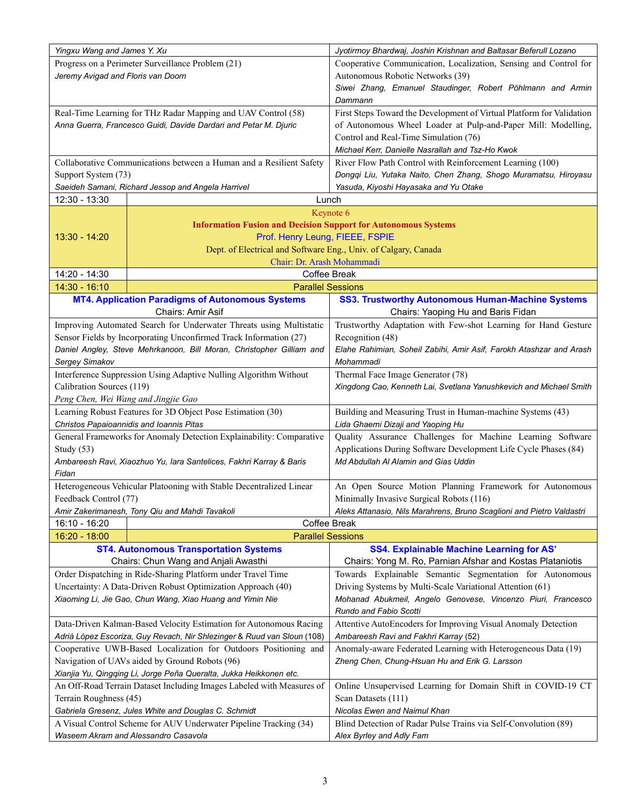| Yingxu Wang and James Y. Xu                                                                               |                                                                       | Jyotirmoy Bhardwaj, Joshin Krishnan and Baltasar Beferull Lozano      |
|-----------------------------------------------------------------------------------------------------------|-----------------------------------------------------------------------|-----------------------------------------------------------------------|
|                                                                                                           | Progress on a Perimeter Surveillance Problem (21)                     | Cooperative Communication, Localization, Sensing and Control for      |
| Jeremy Avigad and Floris van Doorn                                                                        |                                                                       | Autonomous Robotic Networks (39)                                      |
|                                                                                                           |                                                                       | Siwei Zhang, Emanuel Staudinger, Robert Pöhlmann and Armin            |
|                                                                                                           |                                                                       | Dammann                                                               |
|                                                                                                           | Real-Time Learning for THz Radar Mapping and UAV Control (58)         | First Steps Toward the Development of Virtual Platform for Validation |
|                                                                                                           | Anna Guerra, Francesco Guidi, Davide Dardari and Petar M. Djuric      | of Autonomous Wheel Loader at Pulp-and-Paper Mill: Modelling,         |
|                                                                                                           |                                                                       | Control and Real-Time Simulation (76)                                 |
|                                                                                                           |                                                                       | Michael Kerr, Danielle Nasrallah and Tsz-Ho Kwok                      |
|                                                                                                           | Collaborative Communications between a Human and a Resilient Safety   | River Flow Path Control with Reinforcement Learning (100)             |
| Support System (73)                                                                                       |                                                                       | Dongqi Liu, Yutaka Naito, Chen Zhang, Shogo Muramatsu, Hiroyasu       |
|                                                                                                           | Saeideh Samani, Richard Jessop and Angela Harrivel                    | Yasuda, Kiyoshi Hayasaka and Yu Otake                                 |
| 12:30 - 13:30                                                                                             |                                                                       | Lunch                                                                 |
|                                                                                                           |                                                                       | Keynote 6                                                             |
|                                                                                                           | <b>Information Fusion and Decision Support for Autonomous Systems</b> |                                                                       |
| $13:30 - 14:20$                                                                                           | Prof. Henry Leung, FIEEE, FSPIE                                       |                                                                       |
|                                                                                                           | Dept. of Electrical and Software Eng., Univ. of Calgary, Canada       |                                                                       |
|                                                                                                           | Chair: Dr. Arash Mohammadi                                            |                                                                       |
| 14:20 - 14:30                                                                                             |                                                                       | Coffee Break                                                          |
| $14:30 - 16:10$                                                                                           | <b>Parallel Sessions</b>                                              |                                                                       |
|                                                                                                           | <b>MT4. Application Paradigms of Autonomous Systems</b>               | <b>SS3. Trustworthy Autonomous Human-Machine Systems</b>              |
|                                                                                                           | Chairs: Amir Asif                                                     | Chairs: Yaoping Hu and Baris Fidan                                    |
|                                                                                                           | Improving Automated Search for Underwater Threats using Multistatic   | Trustworthy Adaptation with Few-shot Learning for Hand Gesture        |
|                                                                                                           | Sensor Fields by Incorporating Unconfirmed Track Information (27)     | Recognition (48)                                                      |
|                                                                                                           | Daniel Angley, Steve Mehrkanoon, Bill Moran, Christopher Gilliam and  | Elahe Rahimian, Soheil Zabihi, Amir Asif, Farokh Atashzar and Arash   |
| Sergey Simakov                                                                                            |                                                                       | Mohammadi                                                             |
|                                                                                                           | Interference Suppression Using Adaptive Nulling Algorithm Without     | Thermal Face Image Generator (78)                                     |
| Calibration Sources (119)                                                                                 |                                                                       | Xingdong Cao, Kenneth Lai, Svetlana Yanushkevich and Michael Smith    |
| Peng Chen, Wei Wang and Jingjie Gao                                                                       |                                                                       |                                                                       |
|                                                                                                           | Learning Robust Features for 3D Object Pose Estimation (30)           | Building and Measuring Trust in Human-machine Systems (43)            |
|                                                                                                           | Christos Papaioannidis and Ioannis Pitas                              | Lida Ghaemi Dizaji and Yaoping Hu                                     |
|                                                                                                           | General Frameworks for Anomaly Detection Explainability: Comparative  | Quality Assurance Challenges for Machine Learning Software            |
| Study $(53)$                                                                                              |                                                                       | Applications During Software Development Life Cycle Phases (84)       |
|                                                                                                           | Ambareesh Ravi, Xiaozhuo Yu, Iara Santelices, Fakhri Karray & Baris   | Md Abdullah Al Alamin and Gias Uddin                                  |
| Fidan                                                                                                     |                                                                       |                                                                       |
|                                                                                                           | Heterogeneous Vehicular Platooning with Stable Decentralized Linear   | An Open Source Motion Planning Framework for Autonomous               |
| Feedback Control (77)                                                                                     |                                                                       | Minimally Invasive Surgical Robots (116)                              |
|                                                                                                           | Amir Zakerimanesh, Tony Qiu and Mahdi Tavakoli                        | Aleks Attanasio, Nils Marahrens, Bruno Scaglioni and Pietro Valdastri |
| 16:10 - 16:20                                                                                             |                                                                       | Coffee Break                                                          |
| 16:20 - 18:00                                                                                             | <b>Parallel Sessions</b>                                              |                                                                       |
|                                                                                                           | <b>ST4. Autonomous Transportation Systems</b>                         | <b>SS4. Explainable Machine Learning for AS'</b>                      |
|                                                                                                           | Chairs: Chun Wang and Anjali Awasthi                                  | Chairs: Yong M. Ro, Parnian Afshar and Kostas Plataniotis             |
|                                                                                                           | Order Dispatching in Ride-Sharing Platform under Travel Time          | Towards Explainable Semantic Segmentation for Autonomous              |
|                                                                                                           | Uncertainty: A Data-Driven Robust Optimization Approach (40)          | Driving Systems by Multi-Scale Variational Attention (61)             |
|                                                                                                           |                                                                       | Mohanad Abukmeil, Angelo Genovese, Vincenzo Piuri, Francesco          |
| Xiaoming Li, Jie Gao, Chun Wang, Xiao Huang and Yimin Nie                                                 |                                                                       | Rundo and Fabio Scotti                                                |
|                                                                                                           |                                                                       | Attentive AutoEncoders for Improving Visual Anomaly Detection         |
| Data-Driven Kalman-Based Velocity Estimation for Autonomous Racing                                        |                                                                       | Ambareesh Ravi and Fakhri Karray (52)                                 |
| Adrià López Escoriza, Guy Revach, Nir Shlezinger & Ruud van Sloun (108)                                   |                                                                       | Anomaly-aware Federated Learning with Heterogeneous Data (19)         |
| Cooperative UWB-Based Localization for Outdoors Positioning and                                           |                                                                       |                                                                       |
| Navigation of UAVs aided by Ground Robots (96)                                                            |                                                                       | Zheng Chen, Chung-Hsuan Hu and Erik G. Larsson                        |
| Xianjia Yu, Qingqing Li, Jorge Peña Queralta, Jukka Heikkonen etc.                                        |                                                                       |                                                                       |
| An Off-Road Terrain Dataset Including Images Labeled with Measures of                                     |                                                                       | Online Unsupervised Learning for Domain Shift in COVID-19 CT          |
| Terrain Roughness (45)                                                                                    |                                                                       | Scan Datasets (111)                                                   |
| Gabriela Gresenz, Jules White and Douglas C. Schmidt                                                      |                                                                       | Nicolas Ewen and Naimul Khan                                          |
| A Visual Control Scheme for AUV Underwater Pipeline Tracking (34)<br>Waseem Akram and Alessandro Casavola |                                                                       | Blind Detection of Radar Pulse Trains via Self-Convolution (89)       |
|                                                                                                           |                                                                       | Alex Byrley and Adly Fam                                              |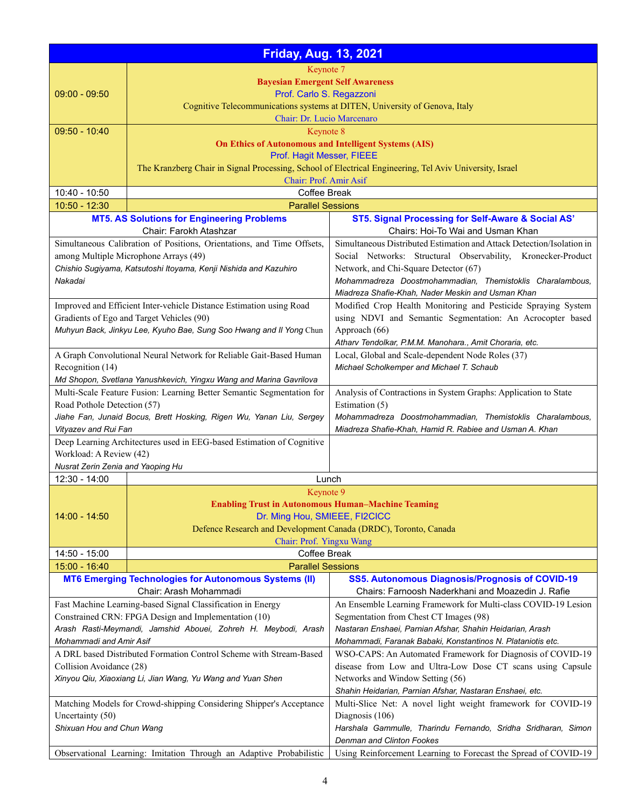|                                                                                               | <b>Friday, Aug. 13, 2021</b>                                                                            |                                                                                                                          |
|-----------------------------------------------------------------------------------------------|---------------------------------------------------------------------------------------------------------|--------------------------------------------------------------------------------------------------------------------------|
|                                                                                               | Keynote 7                                                                                               |                                                                                                                          |
|                                                                                               | <b>Bayesian Emergent Self Awareness</b>                                                                 |                                                                                                                          |
| $09:00 - 09:50$                                                                               | Prof. Carlo S. Regazzoni                                                                                |                                                                                                                          |
|                                                                                               |                                                                                                         | Cognitive Telecommunications systems at DITEN, University of Genova, Italy                                               |
|                                                                                               | Chair: Dr. Lucio Marcenaro                                                                              |                                                                                                                          |
| $09:50 - 10:40$                                                                               | Keynote 8                                                                                               |                                                                                                                          |
|                                                                                               | <b>On Ethics of Autonomous and Intelligent Systems (AIS)</b>                                            |                                                                                                                          |
|                                                                                               | Prof. Hagit Messer, FIEEE                                                                               |                                                                                                                          |
|                                                                                               | The Kranzberg Chair in Signal Processing, School of Electrical Engineering, Tel Aviv University, Israel |                                                                                                                          |
| 10:40 - 10:50                                                                                 | Chair: Prof. Amir Asif<br>Coffee Break                                                                  |                                                                                                                          |
| $10:50 - 12:30$                                                                               | <b>Parallel Sessions</b>                                                                                |                                                                                                                          |
|                                                                                               | <b>MT5. AS Solutions for Engineering Problems</b>                                                       | ST5. Signal Processing for Self-Aware & Social AS'                                                                       |
|                                                                                               | Chair: Farokh Atashzar                                                                                  | Chairs: Hoi-To Wai and Usman Khan                                                                                        |
|                                                                                               | Simultaneous Calibration of Positions, Orientations, and Time Offsets,                                  | Simultaneous Distributed Estimation and Attack Detection/Isolation in                                                    |
|                                                                                               | among Multiple Microphone Arrays (49)                                                                   | Social Networks: Structural Observability, Kronecker-Product                                                             |
|                                                                                               | Chishio Sugiyama, Katsutoshi Itoyama, Kenji Nishida and Kazuhiro                                        | Network, and Chi-Square Detector (67)                                                                                    |
| Nakadai                                                                                       |                                                                                                         | Mohammadreza Doostmohammadian, Themistoklis Charalambous,                                                                |
|                                                                                               |                                                                                                         | Miadreza Shafie-Khah, Nader Meskin and Usman Khan                                                                        |
|                                                                                               | Improved and Efficient Inter-vehicle Distance Estimation using Road                                     | Modified Crop Health Monitoring and Pesticide Spraying System                                                            |
|                                                                                               | Gradients of Ego and Target Vehicles (90)                                                               | using NDVI and Semantic Segmentation: An Acrocopter based                                                                |
|                                                                                               | Muhyun Back, Jinkyu Lee, Kyuho Bae, Sung Soo Hwang and Il Yong Chun                                     | Approach (66)                                                                                                            |
|                                                                                               | A Graph Convolutional Neural Network for Reliable Gait-Based Human                                      | Atharv Tendolkar, P.M.M. Manohara., Amit Choraria, etc.<br>Local, Global and Scale-dependent Node Roles (37)             |
| Recognition (14)                                                                              |                                                                                                         | Michael Scholkemper and Michael T. Schaub                                                                                |
|                                                                                               | Md Shopon, Svetlana Yanushkevich, Yingxu Wang and Marina Gavrilova                                      |                                                                                                                          |
|                                                                                               | Multi-Scale Feature Fusion: Learning Better Semantic Segmentation for                                   | Analysis of Contractions in System Graphs: Application to State                                                          |
| Road Pothole Detection (57)                                                                   |                                                                                                         | Estimation (5)                                                                                                           |
|                                                                                               | Jiahe Fan, Junaid Bocus, Brett Hosking, Rigen Wu, Yanan Liu, Sergey                                     | Mohammadreza Doostmohammadian, Themistoklis Charalambous,                                                                |
| Vityazev and Rui Fan                                                                          |                                                                                                         | Miadreza Shafie-Khah, Hamid R. Rabiee and Usman A. Khan                                                                  |
|                                                                                               | Deep Learning Architectures used in EEG-based Estimation of Cognitive                                   |                                                                                                                          |
| Workload: A Review (42)                                                                       |                                                                                                         |                                                                                                                          |
| Nusrat Zerin Zenia and Yaoping Hu                                                             |                                                                                                         |                                                                                                                          |
| 12:30 - 14:00                                                                                 |                                                                                                         | Lunch                                                                                                                    |
|                                                                                               | Keynote 9<br><b>Enabling Trust in Autonomous Human-Machine Teaming</b>                                  |                                                                                                                          |
| $14:00 - 14:50$                                                                               | Dr. Ming Hou, SMIEEE, FI2CICC                                                                           |                                                                                                                          |
|                                                                                               | Defence Research and Development Canada (DRDC), Toronto, Canada                                         |                                                                                                                          |
|                                                                                               | Chair: Prof. Yingxu Wang                                                                                |                                                                                                                          |
| 14:50 - 15:00                                                                                 | Coffee Break                                                                                            |                                                                                                                          |
| 15:00 - 16:40                                                                                 | <b>Parallel Sessions</b>                                                                                |                                                                                                                          |
|                                                                                               | <b>MT6 Emerging Technologies for Autonomous Systems (II)</b>                                            | <b>SS5. Autonomous Diagnosis/Prognosis of COVID-19</b>                                                                   |
|                                                                                               | Chair: Arash Mohammadi                                                                                  | Chairs: Farnoosh Naderkhani and Moazedin J. Rafie                                                                        |
| Fast Machine Learning-based Signal Classification in Energy                                   |                                                                                                         | An Ensemble Learning Framework for Multi-class COVID-19 Lesion                                                           |
| Constrained CRN: FPGA Design and Implementation (10)                                          |                                                                                                         | Segmentation from Chest CT Images (98)                                                                                   |
| Arash Rasti-Meymandi, Jamshid Abouei, Zohreh H. Meybodi, Arash                                |                                                                                                         | Nastaran Enshaei, Parnian Afshar, Shahin Heidarian, Arash<br>Mohammadi, Faranak Babaki, Konstantinos N. Plataniotis etc. |
| Mohammadi and Amir Asif<br>A DRL based Distributed Formation Control Scheme with Stream-Based |                                                                                                         | WSO-CAPS: An Automated Framework for Diagnosis of COVID-19                                                               |
| Collision Avoidance (28)                                                                      |                                                                                                         | disease from Low and Ultra-Low Dose CT scans using Capsule                                                               |
| Xinyou Qiu, Xiaoxiang Li, Jian Wang, Yu Wang and Yuan Shen                                    |                                                                                                         | Networks and Window Setting (56)                                                                                         |
|                                                                                               |                                                                                                         | Shahin Heidarian, Parnian Afshar, Nastaran Enshaei, etc.                                                                 |
| Matching Models for Crowd-shipping Considering Shipper's Acceptance                           |                                                                                                         | Multi-Slice Net: A novel light weight framework for COVID-19                                                             |
| Uncertainty (50)                                                                              |                                                                                                         | Diagnosis (106)                                                                                                          |
| Shixuan Hou and Chun Wang                                                                     |                                                                                                         | Harshala Gammulle, Tharindu Fernando, Sridha Sridharan, Simon                                                            |
|                                                                                               |                                                                                                         | Denman and Clinton Fookes                                                                                                |
| Observational Learning: Imitation Through an Adaptive Probabilistic                           |                                                                                                         | Using Reinforcement Learning to Forecast the Spread of COVID-19                                                          |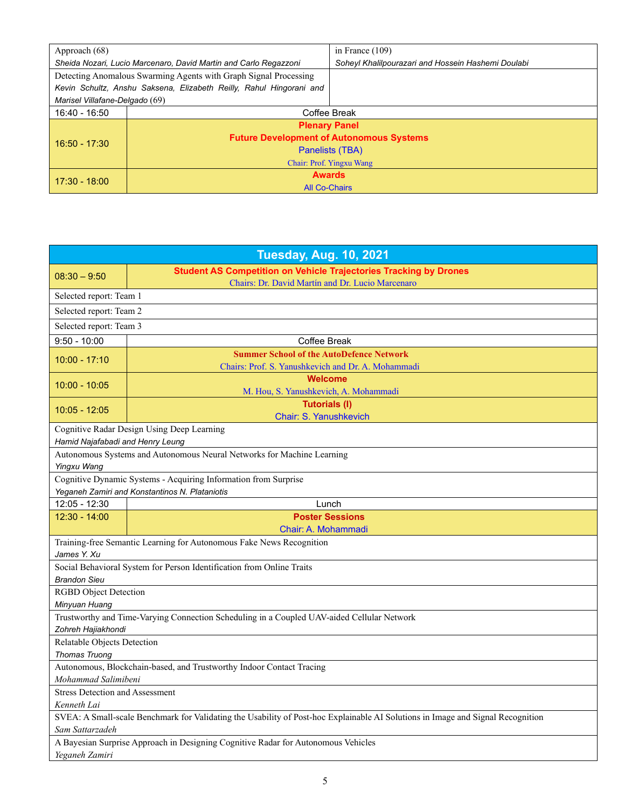| Approach (68)                                                       |                                                 | in France $(109)$                                  |
|---------------------------------------------------------------------|-------------------------------------------------|----------------------------------------------------|
| Sheida Nozari, Lucio Marcenaro, David Martin and Carlo Regazzoni    |                                                 | Soheyl Khalilpourazari and Hossein Hashemi Doulabi |
| Detecting Anomalous Swarming Agents with Graph Signal Processing    |                                                 |                                                    |
| Kevin Schultz, Anshu Saksena, Elizabeth Reilly, Rahul Hingorani and |                                                 |                                                    |
| Marisel Villafane-Delgado (69)                                      |                                                 |                                                    |
| 16:40 - 16:50                                                       | Coffee Break                                    |                                                    |
| $16:50 - 17:30$                                                     | <b>Plenary Panel</b>                            |                                                    |
|                                                                     | <b>Future Development of Autonomous Systems</b> |                                                    |
|                                                                     | Panelists (TBA)                                 |                                                    |
|                                                                     | Chair: Prof. Yingxu Wang                        |                                                    |
| $17:30 - 18:00$                                                     | <b>Awards</b>                                   |                                                    |
|                                                                     | <b>All Co-Chairs</b>                            |                                                    |

| <b>Tuesday, Aug. 10, 2021</b>                                                                                                   |                                                                                             |  |
|---------------------------------------------------------------------------------------------------------------------------------|---------------------------------------------------------------------------------------------|--|
| $08:30 - 9:50$                                                                                                                  | <b>Student AS Competition on Vehicle Trajectories Tracking by Drones</b>                    |  |
| Selected report: Team 1                                                                                                         | Chairs: Dr. David Martín and Dr. Lucio Marcenaro                                            |  |
| Selected report: Team 2                                                                                                         |                                                                                             |  |
| Selected report: Team 3                                                                                                         |                                                                                             |  |
| $9:50 - 10:00$                                                                                                                  | Coffee Break                                                                                |  |
| $10:00 - 17:10$                                                                                                                 | <b>Summer School of the AutoDefence Network</b>                                             |  |
|                                                                                                                                 | Chairs: Prof. S. Yanushkevich and Dr. A. Mohammadi                                          |  |
| $10:00 - 10:05$                                                                                                                 | Welcome                                                                                     |  |
|                                                                                                                                 | M. Hou, S. Yanushkevich, A. Mohammadi                                                       |  |
| $10:05 - 12:05$                                                                                                                 | <b>Tutorials (I)</b><br>Chair: S. Yanushkevich                                              |  |
|                                                                                                                                 | Cognitive Radar Design Using Deep Learning                                                  |  |
| Hamid Najafabadi and Henry Leung                                                                                                |                                                                                             |  |
|                                                                                                                                 | Autonomous Systems and Autonomous Neural Networks for Machine Learning                      |  |
| Yingxu Wang                                                                                                                     |                                                                                             |  |
|                                                                                                                                 | Cognitive Dynamic Systems - Acquiring Information from Surprise                             |  |
|                                                                                                                                 | Yeganeh Zamiri and Konstantinos N. Plataniotis                                              |  |
| 12:05 - 12:30                                                                                                                   | Lunch                                                                                       |  |
| $12:30 - 14:00$                                                                                                                 | <b>Poster Sessions</b>                                                                      |  |
|                                                                                                                                 | Chair: A. Mohammadi<br>Training-free Semantic Learning for Autonomous Fake News Recognition |  |
| James Y. Xu                                                                                                                     |                                                                                             |  |
|                                                                                                                                 | Social Behavioral System for Person Identification from Online Traits                       |  |
| <b>Brandon Sieu</b>                                                                                                             |                                                                                             |  |
| <b>RGBD</b> Object Detection                                                                                                    |                                                                                             |  |
| Minyuan Huang                                                                                                                   |                                                                                             |  |
| Trustworthy and Time-Varying Connection Scheduling in a Coupled UAV-aided Cellular Network                                      |                                                                                             |  |
| Zohreh Hajiakhondi                                                                                                              |                                                                                             |  |
| Relatable Objects Detection                                                                                                     |                                                                                             |  |
| <b>Thomas Truong</b><br>Autonomous, Blockchain-based, and Trustworthy Indoor Contact Tracing                                    |                                                                                             |  |
| Mohammad Salimibeni                                                                                                             |                                                                                             |  |
| <b>Stress Detection and Assessment</b>                                                                                          |                                                                                             |  |
| Kenneth Lai                                                                                                                     |                                                                                             |  |
| SVEA: A Small-scale Benchmark for Validating the Usability of Post-hoc Explainable AI Solutions in Image and Signal Recognition |                                                                                             |  |
| Sam Sattarzadeh                                                                                                                 |                                                                                             |  |
| A Bayesian Surprise Approach in Designing Cognitive Radar for Autonomous Vehicles                                               |                                                                                             |  |
| Yeganeh Zamiri                                                                                                                  |                                                                                             |  |